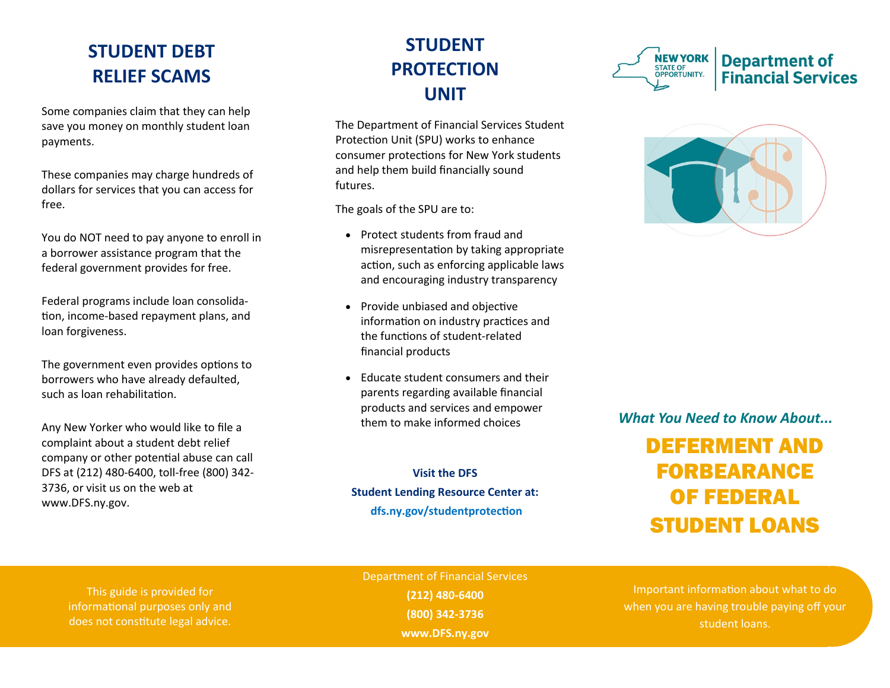## **STUDENT DEBT RELIEF SCAMS**

Some companies claim that they can help save you money on monthly student loan payments.

These companies may charge hundreds of dollars for services that you can access for free.

You do NOT need to pay anyone to enroll in a borrower assistance program that the federal government provides for free.

Federal programs include loan consolidation, income-based repayment plans, and loan forgiveness.

The government even provides options to borrowers who have already defaulted, such as loan rehabilitation.

Any New Yorker who would like to file a complaint about a student debt relief company or other potential abuse can call DFS at (212) 480-6400, toll-free (800) 342- 3736, or visit us on the web at www.DFS.ny.gov.

# **STUDENT PROTECTION UNIT**

The Department of Financial Services Student Protection Unit (SPU) works to enhance consumer protections for New York students and help them build financially sound futures.

The goals of the SPU are to:

- Protect students from fraud and misrepresentation by taking appropriate action, such as enforcing applicable laws and encouraging industry transparency
- Provide unbiased and objective information on industry practices and the functions of student-related financial products
- Educate student consumers and their parents regarding available financial products and services and empower them to make informed choices

**Visit the DFS Student Lending Resource Center at: dfs.ny.gov/studentprotection**





#### *What You Need to Know About...*

# DEFERMENT AND FORBEARANCE OF FEDERAL STUDENT LOANS

This guide is provided for informational purposes only and does not constitute legal advice.

Department of Financial Services **(212) 480-6400 (800) 342-3736 www.DFS.ny.gov**

Important information about what to do when you are having trouble paying off your student loans.